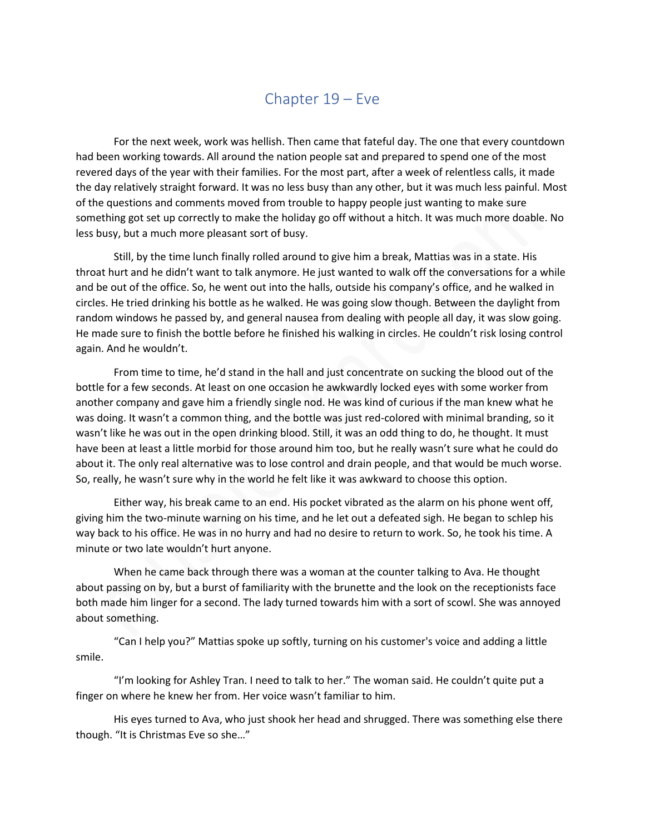## Chapter 19 – Eve

For the next week, work was hellish. Then came that fateful day. The one that every countdown had been working towards. All around the nation people sat and prepared to spend one of the most revered days of the year with their families. For the most part, after a week of relentless calls, it made the day relatively straight forward. It was no less busy than any other, but it was much less painful. Most of the questions and comments moved from trouble to happy people just wanting to make sure something got set up correctly to make the holiday go off without a hitch. It was much more doable. No less busy, but a much more pleasant sort of busy.

Still, by the time lunch finally rolled around to give him a break, Mattias was in a state. His throat hurt and he didn't want to talk anymore. He just wanted to walk off the conversations for a while and be out of the office. So, he went out into the halls, outside his company's office, and he walked in circles. He tried drinking his bottle as he walked. He was going slow though. Between the daylight from random windows he passed by, and general nausea from dealing with people all day, it was slow going. He made sure to finish the bottle before he finished his walking in circles. He couldn't risk losing control again. And he wouldn't.

From time to time, he'd stand in the hall and just concentrate on sucking the blood out of the bottle for a few seconds. At least on one occasion he awkwardly locked eyes with some worker from another company and gave him a friendly single nod. He was kind of curious if the man knew what he was doing. It wasn't a common thing, and the bottle was just red-colored with minimal branding, so it wasn't like he was out in the open drinking blood. Still, it was an odd thing to do, he thought. It must have been at least a little morbid for those around him too, but he really wasn't sure what he could do about it. The only real alternative was to lose control and drain people, and that would be much worse. So, really, he wasn't sure why in the world he felt like it was awkward to choose this option.

Either way, his break came to an end. His pocket vibrated as the alarm on his phone went off, giving him the two-minute warning on his time, and he let out a defeated sigh. He began to schlep his way back to his office. He was in no hurry and had no desire to return to work. So, he took his time. A minute or two late wouldn't hurt anyone.

When he came back through there was a woman at the counter talking to Ava. He thought about passing on by, but a burst of familiarity with the brunette and the look on the receptionists face both made him linger for a second. The lady turned towards him with a sort of scowl. She was annoyed about something.

"Can I help you?" Mattias spoke up softly, turning on his customer's voice and adding a little smile.

"I'm looking for Ashley Tran. I need to talk to her." The woman said. He couldn't quite put a finger on where he knew her from. Her voice wasn't familiar to him.

His eyes turned to Ava, who just shook her head and shrugged. There was something else there though. "It is Christmas Eve so she…"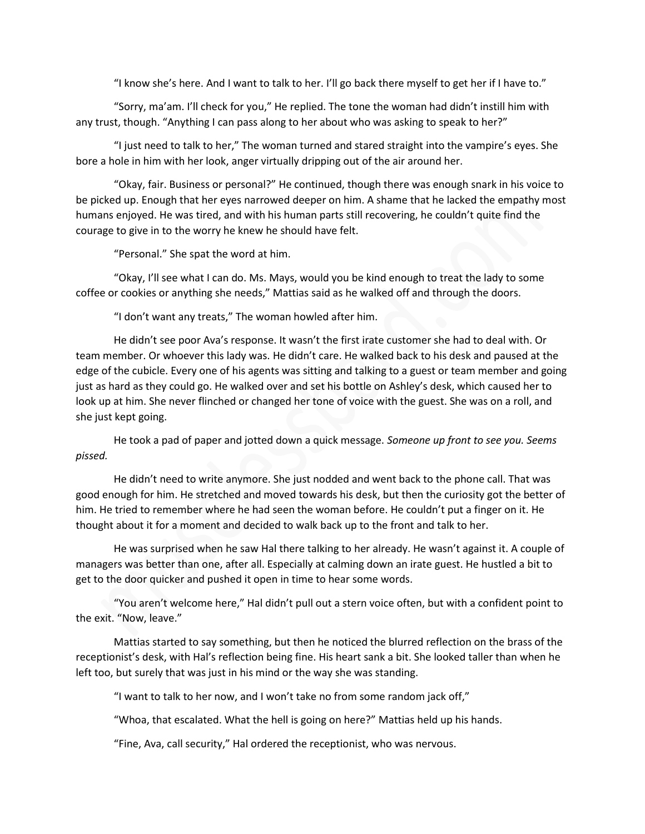"I know she's here. And I want to talk to her. I'll go back there myself to get her if I have to."

"Sorry, ma'am. I'll check for you," He replied. The tone the woman had didn't instill him with any trust, though. "Anything I can pass along to her about who was asking to speak to her?"

"I just need to talk to her," The woman turned and stared straight into the vampire's eyes. She bore a hole in him with her look, anger virtually dripping out of the air around her.

"Okay, fair. Business or personal?" He continued, though there was enough snark in his voice to be picked up. Enough that her eyes narrowed deeper on him. A shame that he lacked the empathy most humans enjoyed. He was tired, and with his human parts still recovering, he couldn't quite find the courage to give in to the worry he knew he should have felt.

"Personal." She spat the word at him.

"Okay, I'll see what I can do. Ms. Mays, would you be kind enough to treat the lady to some coffee or cookies or anything she needs," Mattias said as he walked off and through the doors.

"I don't want any treats," The woman howled after him.

He didn't see poor Ava's response. It wasn't the first irate customer she had to deal with. Or team member. Or whoever this lady was. He didn't care. He walked back to his desk and paused at the edge of the cubicle. Every one of his agents was sitting and talking to a guest or team member and going just as hard as they could go. He walked over and set his bottle on Ashley's desk, which caused her to look up at him. She never flinched or changed her tone of voice with the guest. She was on a roll, and she just kept going.

He took a pad of paper and jotted down a quick message. *Someone up front to see you. Seems pissed.*

He didn't need to write anymore. She just nodded and went back to the phone call. That was good enough for him. He stretched and moved towards his desk, but then the curiosity got the better of him. He tried to remember where he had seen the woman before. He couldn't put a finger on it. He thought about it for a moment and decided to walk back up to the front and talk to her.

He was surprised when he saw Hal there talking to her already. He wasn't against it. A couple of managers was better than one, after all. Especially at calming down an irate guest. He hustled a bit to get to the door quicker and pushed it open in time to hear some words.

"You aren't welcome here," Hal didn't pull out a stern voice often, but with a confident point to the exit. "Now, leave."

Mattias started to say something, but then he noticed the blurred reflection on the brass of the receptionist's desk, with Hal's reflection being fine. His heart sank a bit. She looked taller than when he left too, but surely that was just in his mind or the way she was standing.

"I want to talk to her now, and I won't take no from some random jack off,"

"Whoa, that escalated. What the hell is going on here?" Mattias held up his hands.

"Fine, Ava, call security," Hal ordered the receptionist, who was nervous.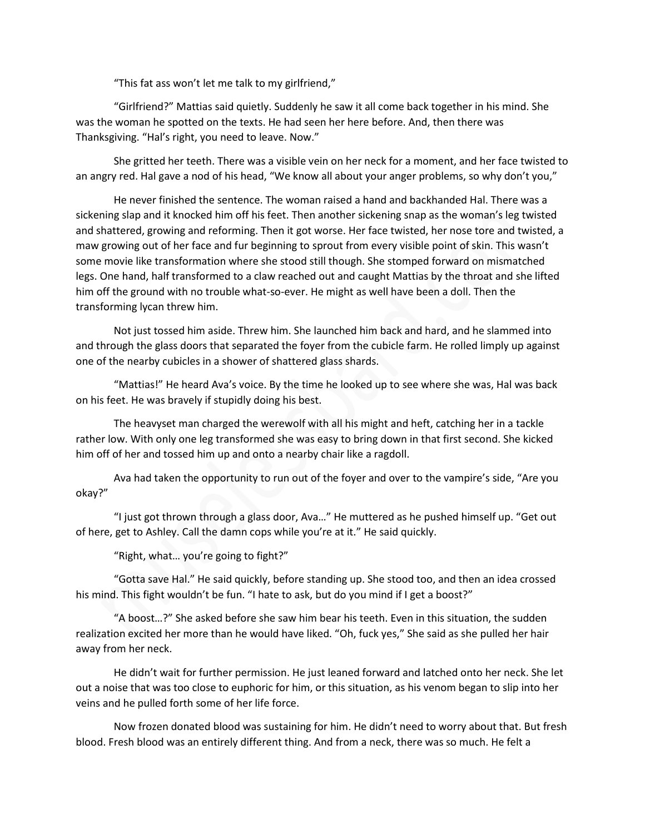"This fat ass won't let me talk to my girlfriend,"

"Girlfriend?" Mattias said quietly. Suddenly he saw it all come back together in his mind. She was the woman he spotted on the texts. He had seen her here before. And, then there was Thanksgiving. "Hal's right, you need to leave. Now."

She gritted her teeth. There was a visible vein on her neck for a moment, and her face twisted to an angry red. Hal gave a nod of his head, "We know all about your anger problems, so why don't you,"

He never finished the sentence. The woman raised a hand and backhanded Hal. There was a sickening slap and it knocked him off his feet. Then another sickening snap as the woman's leg twisted and shattered, growing and reforming. Then it got worse. Her face twisted, her nose tore and twisted, a maw growing out of her face and fur beginning to sprout from every visible point of skin. This wasn't some movie like transformation where she stood still though. She stomped forward on mismatched legs. One hand, half transformed to a claw reached out and caught Mattias by the throat and she lifted him off the ground with no trouble what-so-ever. He might as well have been a doll. Then the transforming lycan threw him.

Not just tossed him aside. Threw him. She launched him back and hard, and he slammed into and through the glass doors that separated the foyer from the cubicle farm. He rolled limply up against one of the nearby cubicles in a shower of shattered glass shards.

"Mattias!" He heard Ava's voice. By the time he looked up to see where she was, Hal was back on his feet. He was bravely if stupidly doing his best.

The heavyset man charged the werewolf with all his might and heft, catching her in a tackle rather low. With only one leg transformed she was easy to bring down in that first second. She kicked him off of her and tossed him up and onto a nearby chair like a ragdoll.

Ava had taken the opportunity to run out of the foyer and over to the vampire's side, "Are you okay?"

"I just got thrown through a glass door, Ava…" He muttered as he pushed himself up. "Get out of here, get to Ashley. Call the damn cops while you're at it." He said quickly.

"Right, what… you're going to fight?"

"Gotta save Hal." He said quickly, before standing up. She stood too, and then an idea crossed his mind. This fight wouldn't be fun. "I hate to ask, but do you mind if I get a boost?"

"A boost…?" She asked before she saw him bear his teeth. Even in this situation, the sudden realization excited her more than he would have liked. "Oh, fuck yes," She said as she pulled her hair away from her neck.

He didn't wait for further permission. He just leaned forward and latched onto her neck. She let out a noise that was too close to euphoric for him, or this situation, as his venom began to slip into her veins and he pulled forth some of her life force.

Now frozen donated blood was sustaining for him. He didn't need to worry about that. But fresh blood. Fresh blood was an entirely different thing. And from a neck, there was so much. He felt a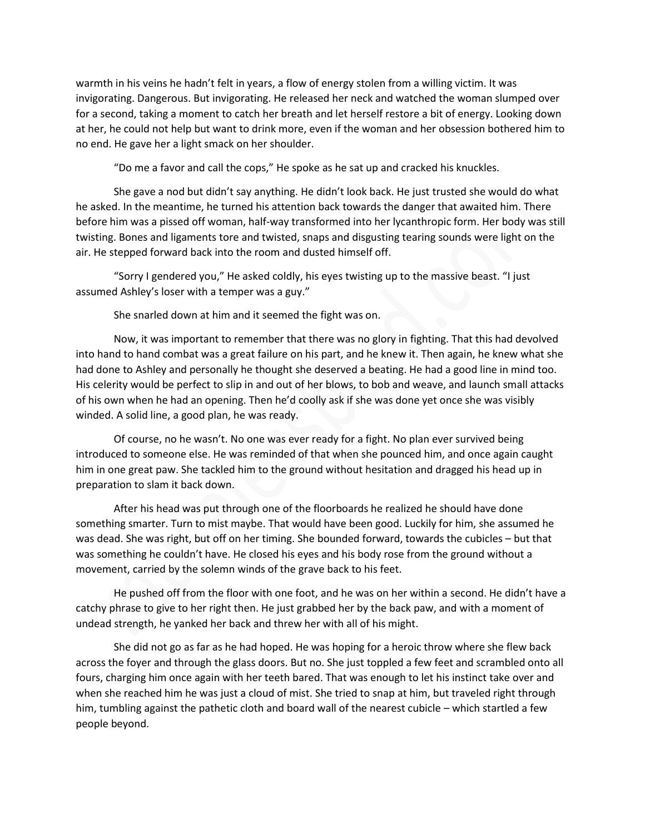warmth in his veins he hadn't felt in years, a flow of energy stolen from a willing victim. It was invigorating. Dangerous. But invigorating. He released her neck and watched the woman slumped over for a second, taking a moment to catch her breath and let herself restore a bit of energy. Looking down at her, he could not help but want to drink more, even if the woman and her obsession bothered him to no end. He gave her a light smack on her shoulder.

"Do me a favor and call the cops," He spoke as he sat up and cracked his knuckles.

She gave a nod but didn't say anything. He didn't look back. He just trusted she would do what he asked. In the meantime, he turned his attention back towards the danger that awaited him. There before him was a pissed off woman, half-way transformed into her lycanthropic form. Her body was still twisting. Bones and ligaments tore and twisted, snaps and disgusting tearing sounds were light on the air. He stepped forward back into the room and dusted himself off.

"Sorry I gendered you," He asked coldly, his eyes twisting up to the massive beast. "I just assumed Ashley's loser with a temper was a guy."

She snarled down at him and it seemed the fight was on.

Now, it was important to remember that there was no glory in fighting. That this had devolved into hand to hand combat was a great failure on his part, and he knew it. Then again, he knew what she had done to Ashley and personally he thought she deserved a beating. He had a good line in mind too. His celerity would be perfect to slip in and out of her blows, to bob and weave, and launch small attacks of his own when he had an opening. Then he'd coolly ask if she was done yet once she was visibly winded. A solid line, a good plan, he was ready.

Of course, no he wasn't. No one was ever ready for a fight. No plan ever survived being introduced to someone else. He was reminded of that when she pounced him, and once again caught him in one great paw. She tackled him to the ground without hesitation and dragged his head up in preparation to slam it back down.

After his head was put through one of the floorboards he realized he should have done something smarter. Turn to mist maybe. That would have been good. Luckily for him, she assumed he was dead. She was right, but off on her timing. She bounded forward, towards the cubicles – but that was something he couldn't have. He closed his eyes and his body rose from the ground without a movement, carried by the solemn winds of the grave back to his feet.

He pushed off from the floor with one foot, and he was on her within a second. He didn't have a catchy phrase to give to her right then. He just grabbed her by the back paw, and with a moment of undead strength, he yanked her back and threw her with all of his might.

She did not go as far as he had hoped. He was hoping for a heroic throw where she flew back across the foyer and through the glass doors. But no. She just toppled a few feet and scrambled onto all fours, charging him once again with her teeth bared. That was enough to let his instinct take over and when she reached him he was just a cloud of mist. She tried to snap at him, but traveled right through him, tumbling against the pathetic cloth and board wall of the nearest cubicle – which startled a few people beyond.